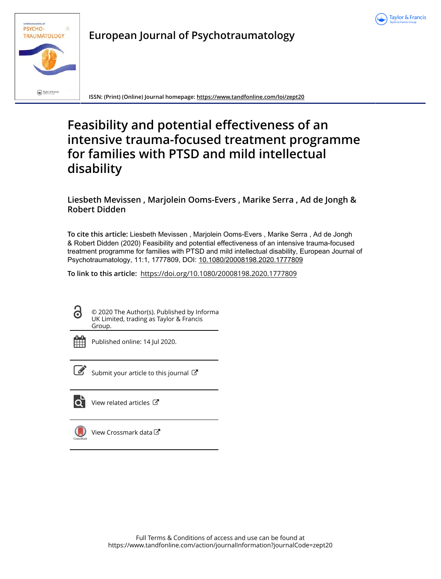



**European Journal of Psychotraumatology**

**ISSN: (Print) (Online) Journal homepage:<https://www.tandfonline.com/loi/zept20>**

# **Feasibility and potential effectiveness of an intensive trauma-focused treatment programme for families with PTSD and mild intellectual disability**

**Liesbeth Mevissen , Marjolein Ooms-Evers , Marike Serra , Ad de Jongh & Robert Didden**

**To cite this article:** Liesbeth Mevissen , Marjolein Ooms-Evers , Marike Serra , Ad de Jongh & Robert Didden (2020) Feasibility and potential effectiveness of an intensive trauma-focused treatment programme for families with PTSD and mild intellectual disability, European Journal of Psychotraumatology, 11:1, 1777809, DOI: [10.1080/20008198.2020.1777809](https://www.tandfonline.com/action/showCitFormats?doi=10.1080/20008198.2020.1777809)

**To link to this article:** <https://doi.org/10.1080/20008198.2020.1777809>



© 2020 The Author(s). Published by Informa UK Limited, trading as Taylor & Francis Group.



Published online: 14 Jul 2020.



 $\overline{\mathscr{L}}$  [Submit your article to this journal](https://www.tandfonline.com/action/authorSubmission?journalCode=zept20&show=instructions)  $\mathbb{Z}$ 



[View related articles](https://www.tandfonline.com/doi/mlt/10.1080/20008198.2020.1777809)  $\mathbb{Z}$ 



[View Crossmark data](http://crossmark.crossref.org/dialog/?doi=10.1080/20008198.2020.1777809&domain=pdf&date_stamp=2020-07-14)<sup>C</sup>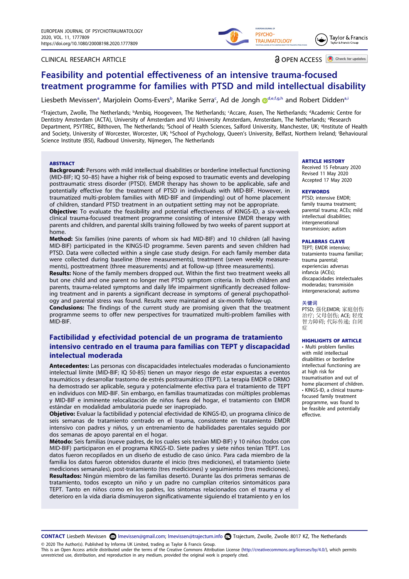#### CLINICAL RESEARCH ARTICLE

**TRAUMATOLOGY** 

PSYCHO-

**a** OPEN ACCESS **a** Check for updates

**Taylor & Francis** 

## **Feasibility and potential effectiveness of an intensive trauma-focused treatment programme for families with PTSD and mild intellectual disability**

Lie[sb](#page-1-0)eth Mevissen<sup>a</sup>, Marjolein Ooms-Evers<sup>b</sup>, Marike Serra<sup>c</sup>, A[d](#page-1-0) de Jongh **@def.g[,h](#page-1-3) and Robert Didden<sup>a[,i](#page-1-3)</sup>** 

<span id="page-1-3"></span><span id="page-1-2"></span><span id="page-1-1"></span><span id="page-1-0"></span><sup>a</sup>Trajectum, Zwolle, The Netherlands; <sup>b</sup>Ambiq, Hoogeveen, The Netherlands; ʿAccare, Assen, The Netherlands; <sup>d</sup>Academic Centre for Dentistry Amsterdam (ACTA), University of Amsterdam and VU University Amsterdam, Amsterdam, The Netherlands; <sup>e</sup>Research Department, PSYTREC, Bilthoven, The Netherlands; 'School of Health Sciences, Salford University, Manchester, UK; <sup>9</sup>Institute of Health and Society, University of Worcester, Worcester, UK; <sup>h</sup>School of Psychology, Queen's University, Belfast, Northern Ireland; <sup>i</sup>Behavioural Science Institute (BSI), Radboud University, Nijmegen, The Netherlands

#### **ABSTRACT**

**Background:** Persons with mild intellectual disabilities or borderline intellectual functioning (MID-BIF; IQ 50–85) have a higher risk of being exposed to traumatic events and developing posttraumatic stress disorder (PTSD). EMDR therapy has shown to be applicable, safe and potentially effective for the treatment of PTSD in individuals with MID-BIF. However, in traumatized multi-problem families with MID-BIF and (impending) out of home placement of children, standard PTSD treatment in an outpatient setting may not be appropriate.

**Objective:** To evaluate the feasibility and potential effectiveness of KINGS-ID, a six-week clinical trauma-focused treatment programme consisting of intensive EMDR therapy with parents and children, and parental skills training followed by two weeks of parent support at home.

**Method:** Six families (nine parents of whom six had MID-BIF) and 10 children (all having MID-BIF) participated in the KINGS-ID programme. Seven parents and seven children had PTSD. Data were collected within a single case study design. For each family member data were collected during baseline (three measurements), treatment (seven weekly measurements), posttreatment (three measurements) and at follow-up (three measurements).

**Results:** None of the family members dropped out. Within the first two treatment weeks all but one child and one parent no longer met PTSD symptom criteria. In both children and parents, trauma-related symptoms and daily life impairment significantly decreased following treatment and in parents a significant decrease in symptoms of general psychopathology and parental stress was found. Results were maintained at six-month follow-up.

**Conclusions:** The findings of the current study are promising given that the treatment programme seems to offer new perspectives for traumatized multi-problem families with MID-BIF.

## **Factibilidad y efectividad potencial de un programa de tratamiento intensivo centrado en el trauma para familias con TEPT y discapacidad intelectual moderada**

**Antecedentes:** Las personas con discapacidades intelectuales moderadas o funcionamiento intelectual límite (MID-BIF; IQ 50-85) tienen un mayor riesgo de estar expuestas a eventos traumáticos y desarrollar trastorno de estrés postraumático (TEPT). La terapia EMDR o DRMO ha demostrado ser aplicable, segura y potencialmente efectiva para el tratamiento de TEPT en individuos con MID-BIF. Sin embargo, en familias traumatizadas con múltiples problemas y MID-BIF e inminente relocalización de niños fuera del hogar, el tratamiento con EMDR estándar en modalidad ambulatoria puede ser inapropiado.

**Objetivo:** Evaluar la factibilidad y potencial efectividad de KINGS-ID, un programa clínico de seis semanas de tratamiento centrado en el trauma, consistente en tratamiento EMDR intensivo con padres y niños, y un entrenamiento de habilidades parentales seguido por dos semanas de apoyo parental en el hogar.

**Método:** Seis familias (nueve padres, de los cuales seis tenían MID-BIF) y 10 niños (todos con MID-BIF) participaron en el programa KINGS-ID. Siete padres y siete niños tenían TEPT. Los datos fueron recopilados en un diseño de estudio de caso único. Para cada miembro de la familia los datos fueron obtenidos durante el inicio (tres mediciones), el tratamiento (siete mediciones semanales), post-tratamiento (tres mediciones) y seguimiento (tres mediciones). **Resultados:** Ningún miembro de las familias desertó. Durante las dos primeras semanas de tratamiento, todos excepto un niño y un padre no cumplían criterios sintomáticos para TEPT. Tanto en niños como en los padres, los síntomas relacionados con el trauma y el deterioro en la vida diaria disminuyeron significativamente siguiendo el tratamiento y en los

#### **ARTICLE HISTORY**

Received 15 February 2020 Revised 11 May 2020 Accepted 17 May 2020

#### **KEYWORDS**

PTSD; intensive EMDR; family trauma treatment; parental trauma; ACEs; mild intellectual disabilities; intergenerational transmission; autism

#### **PALABRAS CLAVE**

TEPT; EMDR intensivo; tratamiento trauma familiar; trauma parental; experiencias adversas infancia (ACEs); discapacidades intelectuales moderadas; transmisión intergeneracional; autismo

#### 关键词

PTSD; 强化EMDR; 家庭创伤 治疗; 父母创伤; ACE; 轻度 智力障碍; 代际传递; 自闭 症

#### **HIGHLIGHTS OF ARTICLE**

• Multi problem families with mild intellectual disabilities or borderline intellectual functioning are at high risk for traumatisation and out of home placement of children. • KINGS-ID, a clinical traumafocused family treatment programme, was found to be feasible and potentially effective.

**CONTACT** Liesbeth Mevissen lmevissen@gmail.com; lmevissen@trajectum.info Trajectum, Zwolle, Zwolle 8017 KZ, The Netherlands © 2020 The Author(s). Published by Informa UK Limited, trading as Taylor & Francis Group.

This is an Open Access article distributed under the terms of the Creative Commons Attribution License (http://creativecommons.org/licenses/by/4.0/), which permits unrestricted use, distribution, and reproduction in any medium, provided the original work is properly cited.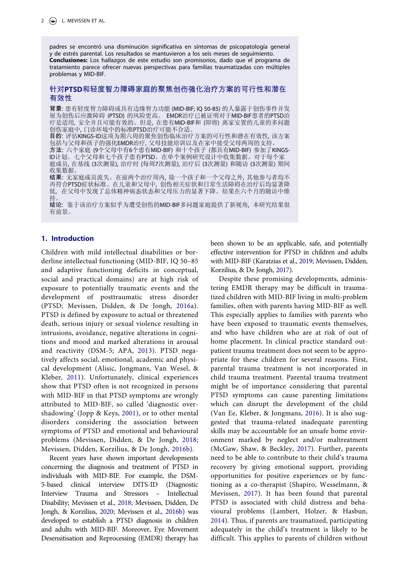padres se encontró una disminución significativa en síntomas de psicopatología general y de estrés parental. Los resultados se mantuvieron a los seis meses de seguimiento. **Conclusiones:** Los hallazgos de este estudio son promisorios, dado que el programa de tratamiento parece ofrecer nuevas perspectivas para familias traumatizadas con múltiples problemas y MID-BIF.

#### 针对**PTSD**和轻度智力障碍家庭的聚焦创伤强化治疗方案的可行性和潜在 有效性

背景: 患有轻度智力障碍或具有边缘智力功能 (MID-BIF; IQ 50-85) 的人暴露于创伤事件并发 展为创伤后应激障碍 (PTSD) 的风险更高。 EMDR治疗已被证明对于MID-BIF患者的PTSD治 疗是适用, 安全并且可能有效的。但是, 在患有MID-BIF和 (即将) 离家安置的儿童的多问题 创伤家庭中, 门诊环境中的标准PTSD治疗可能不合适。

目的: 评估KINGS-ID这项为期六周的聚焦创伤临床治疗方案的可行性和潜在有效性, 该方案 包括与父母和孩子的强化EMDR治疗, 父母技能培训以及在家中接受父母两周的支持。 方法: 六个家庭 (9个父母中有6个患有MID-BIF) 和十个孩子 (都具有MID-BIF) 参加了KINGS-ID计划。七个父母和七个孩子患有PTSD。在单个案例研究设计中收集数据。对于每个家 庭成员, 在基线 (3次测量), 治疗时 (每周7次测量), 治疗后 (3次测量) 和随访 (3次测量) 期间 收集数据。

结果: 无家庭成员流失。在前两个治疗周内, 除一个孩子和一个父母之外, 其他参与者均不 再符合PTSD症状标准。在儿童和父母中, 创伤相关症状和日常生活障碍在治疗后均显著降 低, 在父母中发现了总体精神病态状态和父母压力的显著下降。结果在六个月的随访中维 持。

结论: 鉴于该治疗方案似乎为遭受创伤的MID-BIF多问题家庭提供了新视角, 本研究结果很 有前景。

#### **1. Introduction**

Children with mild intellectual disabilities or borderline intellectual functioning (MID-BIF, IQ 50–85 and adaptive functioning deficits in conceptual, social and practical domains) are at high risk of exposure to potentially traumatic events and the development of posttraumatic stress disorder (PTSD; Mevissen, Didden, & De Jongh, [2016a](#page-10-0)). PTSD is defined by exposure to actual or threatened death, serious injury or sexual violence resulting in intrusions, avoidance, negative alterations in cognitions and mood and marked alterations in arousal and reactivity (DSM-5; APA, [2013](#page-10-1)). PTSD negatively affects social, emotional, academic and physical development (Alisic, Jongmans, Van Wesel, & Kleber, [2011](#page-10-2)). Unfortunately, clinical experiences show that PTSD often is not recognized in persons with MID-BIF in that PTSD symptoms are wrongly attributed to MID-BIF, so called 'diagnostic overshadowing' (Jopp & Keys, [2001](#page-10-3)), or to other mental disorders considering the association between symptoms of PTSD and emotional and behavioural problems (Mevissen, Didden, & De Jongh, [2018](#page-10-4); Mevissen, Didden, Korzilius, & De Jongh, [2016b\)](#page-10-5).

Recent years have shown important developments concerning the diagnosis and treatment of PTSD in individuals with MID-BIF. For example, the DSM-5-based clinical interview DITS-ID (Diagnostic Interview Trauma and Stressors – Intellectual Disability; Mevissen et al., [2018;](#page-10-4) Mevissen, Didden, De Jongh, & Korzilius, [2020;](#page-10-6) Mevissen et al., [2016b\)](#page-10-5) was developed to establish a PTSD diagnosis in children and adults with MID-BIF. Moreover, Eye Movement Desensitisation and Reprocessing (EMDR) therapy has been shown to be an applicable, safe, and potentially effective intervention for PTSD in children and adults with MID-BIF (Karatzias et al., [2019;](#page-10-7) Mevissen, Didden, Korzilius, & De Jongh, [2017](#page-10-8)).

Despite these promising developments, administering EMDR therapy may be difficult in traumatized children with MID-BIF living in multi-problem families, often with parents having MID-BIF as well. This especially applies to families with parents who have been exposed to traumatic events themselves, and who have children who are at risk of out of home placement. In clinical practice standard outpatient trauma treatment does not seem to be appropriate for these children for several reasons. First, parental trauma treatment is not incorporated in child trauma treatment. Parental trauma treatment might be of importance considering that parental PTSD symptoms can cause parenting limitations which can disrupt the development of the child (Van Ee, Kleber, & Jongmans, [2016\)](#page-11-0). It is also suggested that trauma-related inadequate parenting skills may be accountable for an unsafe home environment marked by neglect and/or maltreatment (McGaw, Shaw, & Beckley, [2017\)](#page-10-9). Further, parents need to be able to contribute to their child's trauma recovery by giving emotional support, providing opportunities for positive experiences or by functioning as a co-therapist (Shapiro, Wesselmann, & Mevissen, [2017\)](#page-10-10). It has been found that parental PTSD is associated with child distress and behavioural problems (Lambert, Holzer, & Hasbun, [2014](#page-10-11)). Thus, if parents are traumatized, participating adequately in the child's treatment is likely to be difficult. This applies to parents of children without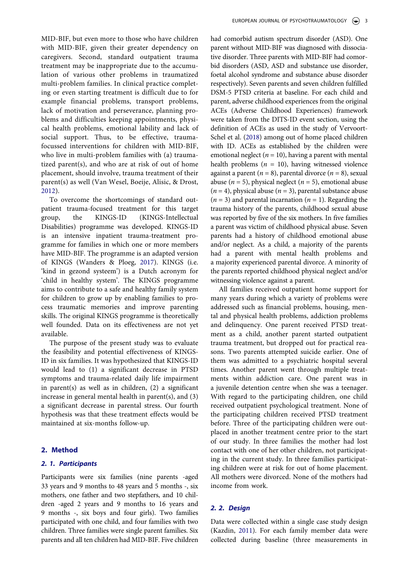MID-BIF, but even more to those who have children with MID-BIF, given their greater dependency on caregivers. Second, standard outpatient trauma treatment may be inappropriate due to the accumulation of various other problems in traumatized multi-problem families. In clinical practice completing or even starting treatment is difficult due to for example financial problems, transport problems, lack of motivation and perseverance, planning problems and difficulties keeping appointments, physical health problems, emotional lability and lack of social support. Thus, to be effective, traumafocussed interventions for children with MID-BIF, who live in multi-problem families with (a) traumatized parent(s), and who are at risk of out of home placement, should involve, trauma treatment of their parent(s) as well (Van Wesel, Boeije, Alisic, & Drost, [2012\)](#page-11-1).

To overcome the shortcomings of standard outpatient trauma-focused treatment for this target group, the KINGS-ID (KINGS-Intellectual Disabilities) programme was developed. KINGS-ID is an intensive inpatient trauma-treatment programme for families in which one or more members have MID-BIF. The programme is an adapted version of KINGS (Wanders & Ploeg, [2017](#page-11-2)). KINGS (i.e. 'kind in gezond systeem') is a Dutch acronym for 'child in healthy system'. The KINGS programme aims to contribute to a safe and healthy family system for children to grow up by enabling families to process traumatic memories and improve parenting skills. The original KINGS programme is theoretically well founded. Data on its effectiveness are not yet available.

The purpose of the present study was to evaluate the feasibility and potential effectiveness of KINGS-ID in six families. It was hypothesized that KINGS-ID would lead to (1) a significant decrease in PTSD symptoms and trauma-related daily life impairment in parent(s) as well as in children, (2) a significant increase in general mental health in parent(s), and (3) a significant decrease in parental stress. Our fourth hypothesis was that these treatment effects would be maintained at six-months follow-up.

### **2. Method**

## *2. 1. Participants*

Participants were six families (nine parents -aged 33 years and 9 months to 48 years and 5 months -, six mothers, one father and two stepfathers, and 10 children -aged 2 years and 9 months to 16 years and 9 months -, six boys and four girls). Two families participated with one child, and four families with two children. Three families were single parent families. Six parents and all ten children had MID-BIF. Five children

had comorbid autism spectrum disorder (ASD). One parent without MID-BIF was diagnosed with dissociative disorder. Three parents with MID-BIF had comorbid disorders (ASD, ASD and substance use disorder, foetal alcohol syndrome and substance abuse disorder respectively). Seven parents and seven children fulfilled DSM-5 PTSD criteria at baseline. For each child and parent, adverse childhood experiences from the original ACEs (Adverse Childhood Experiences) framework were taken from the DITS-ID event section, using the definition of ACEs as used in the study of Vervoort-Schel et al. [\(2018\)](#page-11-3) among out of home placed children with ID. ACEs as established by the children were emotional neglect  $(n = 10)$ , having a parent with mental health problems  $(n = 10)$ , having witnessed violence against a parent ( $n = 8$ ), parental divorce ( $n = 8$ ), sexual abuse ( $n = 5$ ), physical neglect ( $n = 5$ ), emotional abuse  $(n = 4)$ , physical abuse  $(n = 3)$ , parental substance abuse  $(n = 3)$  and parental incarnation  $(n = 1)$ . Regarding the trauma history of the parents, childhood sexual abuse was reported by five of the six mothers. In five families a parent was victim of childhood physical abuse. Seven parents had a history of childhood emotional abuse and/or neglect. As a child, a majority of the parents had a parent with mental health problems and a majority experienced parental divorce. A minority of the parents reported childhood physical neglect and/or witnessing violence against a parent.

All families received outpatient home support for many years during which a variety of problems were addressed such as financial problems, housing, mental and physical health problems, addiction problems and delinquency. One parent received PTSD treatment as a child, another parent started outpatient trauma treatment, but dropped out for practical reasons. Two parents attempted suicide earlier. One of them was admitted to a psychiatric hospital several times. Another parent went through multiple treatments within addiction care. One parent was in a juvenile detention centre when she was a teenager. With regard to the participating children, one child received outpatient psychological treatment. None of the participating children received PTSD treatment before. Three of the participating children were outplaced in another treatment centre prior to the start of our study. In three families the mother had lost contact with one of her other children, not participating in the current study. In three families participating children were at risk for out of home placement. All mothers were divorced. None of the mothers had income from work.

#### *2. 2. Design*

Data were collected within a single case study design (Kazdin, [2011\)](#page-10-12). For each family member data were collected during baseline (three measurements in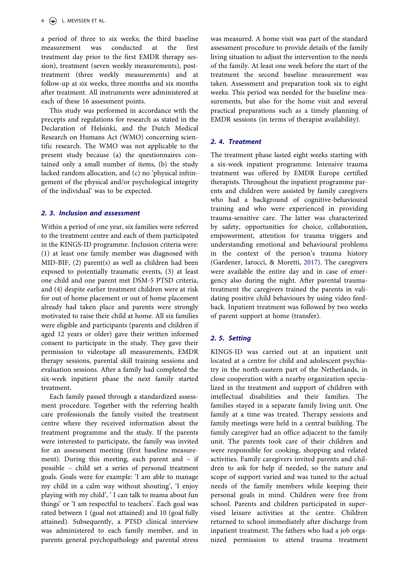a period of three to six weeks; the third baseline measurement was conducted at the first treatment day prior to the first EMDR therapy session), treatment (seven weekly measurements), posttreatment (three weekly measurements) and at follow-up at six weeks, three months and six months after treatment. All instruments were administered at each of these 16 assessment points.

This study was performed in accordance with the precepts and regulations for research as stated in the Declaration of Helsinki, and the Dutch Medical Research on Humans Act (WMO) concerning scientific research. The WMO was not applicable to the present study because (a) the questionnaires contained only a small number of items, (b) the study lacked random allocation, and (c) no 'physical infringement of the physical and/or psychological integrity of the individual' was to be expected.

#### *2. 3. Inclusion and assessment*

Within a period of one year, six families were referred to the treatment centre and each of them participated in the KINGS-ID programme. Inclusion criteria were: (1) at least one family member was diagnosed with MID-BIF, (2) parent(s) as well as children had been exposed to potentially traumatic events, (3) at least one child and one parent met DSM-5 PTSD criteria, and (4) despite earlier treatment children were at risk for out of home placement or out of home placement already had taken place and parents were strongly motivated to raise their child at home. All six families were eligible and participants (parents and children if aged 12 years or older) gave their written informed consent to participate in the study. They gave their permission to videotape all measurements, EMDR therapy sessions, parental skill training sessions and evaluation sessions. After a family had completed the six-week inpatient phase the next family started treatment.

Each family passed through a standardized assessment procedure. Together with the referring health care professionals the family visited the treatment centre where they received information about the treatment programme and the study. If the parents were interested to participate, the family was invited for an assessment meeting (first baseline measurement). During this meeting, each parent and – if possible – child set a series of personal treatment goals. Goals were for example: 'I am able to manage my child in a calm way without shouting', 'I enjoy playing with my child', ' I can talk to mama about fun things' or 'I am respectful to teachers'. Each goal was rated between 1 (goal not attained) and 10 (goal fully attained). Subsequently, a PTSD clinical interview was administered to each family member, and in parents general psychopathology and parental stress

was measured. A home visit was part of the standard assessment procedure to provide details of the family living situation to adjust the intervention to the needs of the family. At least one week before the start of the treatment the second baseline measurement was taken. Assessment and preparation took six to eight weeks. This period was needed for the baseline measurements, but also for the home visit and several practical preparations such as a timely planning of EMDR sessions (in terms of therapist availability).

## *2. 4. Treatment*

The treatment phase lasted eight weeks starting with a six-week inpatient programme. Intensive trauma treatment was offered by EMDR Europe certified therapists. Throughout the inpatient programme parents and children were assisted by family caregivers who had a background of cognitive-behavioural training and who were experienced in providing trauma-sensitive care. The latter was characterized by safety, opportunities for choice, collaboration, empowerment, attention for trauma triggers and understanding emotional and behavioural problems in the context of the person's trauma history (Gardener, Iarocci, & Moretti, [2017\)](#page-10-13). The caregivers were available the entire day and in case of emergency also during the night. After parental traumatreatment the caregivers trained the parents in validating positive child behaviours by using video feedback. Inpatient treatment was followed by two weeks of parent support at home (transfer).

### *2. 5. Setting*

KINGS-ID was carried out at an inpatient unit located at a centre for child and adolescent psychiatry in the north-eastern part of the Netherlands, in close cooperation with a nearby organization specialized in the treatment and support of children with intellectual disabilities and their families. The families stayed in a separate family living unit. One family at a time was treated. Therapy sessions and family meetings were held in a central building. The family caregiver had an office adjacent to the family unit. The parents took care of their children and were responsible for cooking, shopping and related activities. Family caregivers invited parents and children to ask for help if needed, so the nature and scope of support varied and was tuned to the actual needs of the family members while keeping their personal goals in mind. Children were free from school. Parents and children participated in supervised leisure activities at the centre. Children returned to school immediately after discharge from inpatient treatment. The fathers who had a job organized permission to attend trauma treatment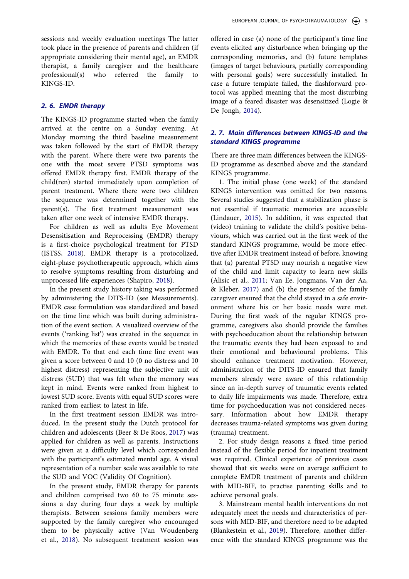sessions and weekly evaluation meetings The latter took place in the presence of parents and children (if appropriate considering their mental age), an EMDR therapist, a family caregiver and the healthcare professional(s) who referred the family to KINGS-ID.

#### *2. 6. EMDR therapy*

The KINGS-ID programme started when the family arrived at the centre on a Sunday evening. At Monday morning the third baseline measurement was taken followed by the start of EMDR therapy with the parent. Where there were two parents the one with the most severe PTSD symptoms was offered EMDR therapy first. EMDR therapy of the child(ren) started immediately upon completion of parent treatment. Where there were two children the sequence was determined together with the parent(s). The first treatment measurement was taken after one week of intensive EMDR therapy.

For children as well as adults Eye Movement Desensitisation and Reprocessing (EMDR) therapy is a first-choice psychological treatment for PTSD (ISTSS, [2018](#page-10-14)). EMDR therapy is a protocolized, eight-phase psychotherapeutic approach, which aims to resolve symptoms resulting from disturbing and unprocessed life experiences (Shapiro, [2018\)](#page-10-15).

In the present study history taking was performed by administering the DITS-ID (see Measurements). EMDR case formulation was standardized and based on the time line which was built during administration of the event section. A visualized overview of the events ('ranking list') was created in the sequence in which the memories of these events would be treated with EMDR. To that end each time line event was given a score between 0 and 10 (0 no distress and 10 highest distress) representing the subjective unit of distress (SUD) that was felt when the memory was kept in mind. Events were ranked from highest to lowest SUD score. Events with equal SUD scores were ranked from earliest to latest in life.

In the first treatment session EMDR was introduced. In the present study the Dutch protocol for children and adolescents (Beer & De Roos, [2017](#page-10-16)) was applied for children as well as parents. Instructions were given at a difficulty level which corresponded with the participant's estimated mental age. A visual representation of a number scale was available to rate the SUD and VOC (Validity Of Cognition).

In the present study, EMDR therapy for parents and children comprised two 60 to 75 minute sessions a day during four days a week by multiple therapists. Between sessions family members were supported by the family caregiver who encouraged them to be physically active (Van Woudenberg et al., [2018\)](#page-11-4). No subsequent treatment session was offered in case (a) none of the participant's time line events elicited any disturbance when bringing up the corresponding memories, and (b) future templates (images of target behaviours, partially corresponding with personal goals) were successfully installed. In case a future template failed, the flashforward protocol was applied meaning that the most disturbing image of a feared disaster was desensitized (Logie & De Jongh, [2014\)](#page-10-17).

## *2. 7. Main differences between KINGS-ID and the standard KINGS programme*

There are three main differences between the KINGS-ID programme as described above and the standard KINGS programme.

1. The initial phase (one week) of the standard KINGS intervention was omitted for two reasons. Several studies suggested that a stabilization phase is not essential if traumatic memories are accessible (Lindauer, [2015](#page-10-18)). In addition, it was expected that (video) training to validate the child's positive behaviours, which was carried out in the first week of the standard KINGS programme, would be more effective after EMDR treatment instead of before, knowing that (a) parental PTSD may nourish a negative view of the child and limit capacity to learn new skills (Alisic et al., [2011;](#page-10-2) Van Ee, Jongmans, Van der Aa, & Kleber, [2017](#page-11-5)) and (b) the presence of the family caregiver ensured that the child stayed in a safe environment where his or her basic needs were met. During the first week of the regular KINGS programme, caregivers also should provide the families with psychoeducation about the relationship between the traumatic events they had been exposed to and their emotional and behavioural problems. This should enhance treatment motivation. However, administration of the DITS-ID ensured that family members already were aware of this relationship since an in-depth survey of traumatic events related to daily life impairments was made. Therefore, extra time for psychoeducation was not considered necessary. Information about how EMDR therapy decreases trauma-related symptoms was given during (trauma) treatment.

2. For study design reasons a fixed time period instead of the flexible period for inpatient treatment was required. Clinical experience of previous cases showed that six weeks were on average sufficient to complete EMDR treatment of parents and children with MID-BIF, to practise parenting skills and to achieve personal goals.

3. Mainstream mental health interventions do not adequately meet the needs and characteristics of persons with MID-BIF, and therefore need to be adapted (Blankestein et al., [2019](#page-10-19)). Therefore, another difference with the standard KINGS programme was the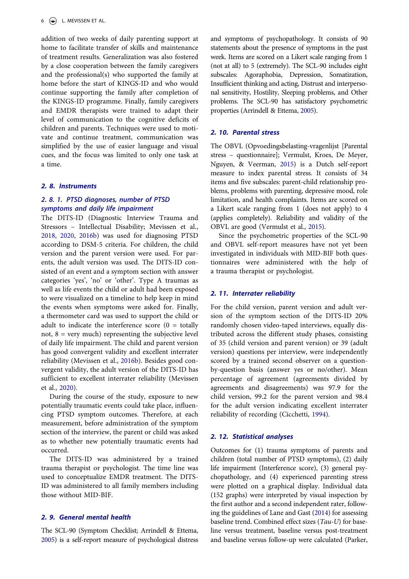addition of two weeks of daily parenting support at home to facilitate transfer of skills and maintenance of treatment results. Generalization was also fostered by a close cooperation between the family caregivers and the professional(s) who supported the family at home before the start of KINGS-ID and who would continue supporting the family after completion of the KINGS-ID programme. Finally, family caregivers and EMDR therapists were trained to adapt their level of communication to the cognitive deficits of children and parents. Techniques were used to motivate and continue treatment, communication was simplified by the use of easier language and visual cues, and the focus was limited to only one task at a time.

#### *2. 8. Instruments*

## *2. 8. 1. PTSD diagnoses, number of PTSD symptoms and daily life impairment*

The DITS-ID (Diagnostic Interview Trauma and Stressors – Intellectual Disability; Mevissen et al., [2018](#page-10-4), [2020,](#page-10-6) [2016b\)](#page-10-5) was used for diagnosing PTSD according to DSM-5 criteria. For children, the child version and the parent version were used. For parents, the adult version was used. The DITS-ID consisted of an event and a symptom section with answer categories 'yes', 'no' or 'other'. Type A traumas as well as life events the child or adult had been exposed to were visualized on a timeline to help keep in mind the events when symptoms were asked for. Finally, a thermometer card was used to support the child or adult to indicate the interference score  $(0 =$  totally not,  $8 =$  very much) representing the subjective level of daily life impairment. The child and parent version has good convergent validity and excellent interrater reliability (Mevissen et al., [2016b](#page-10-5)). Besides good convergent validity, the adult version of the DITS-ID has sufficient to excellent interrater reliability (Mevissen et al., [2020\)](#page-10-6).

During the course of the study, exposure to new potentially traumatic events could take place, influencing PTSD symptom outcomes. Therefore, at each measurement, before administration of the symptom section of the interview, the parent or child was asked as to whether new potentially traumatic events had occurred.

The DITS-ID was administered by a trained trauma therapist or psychologist. The time line was used to conceptualize EMDR treatment. The DITS-ID was administered to all family members including those without MID-BIF.

#### *2. 9. General mental health*

The SCL-90 (Symptom Checklist; Arrindell & Ettema, [2005](#page-10-20)) is a self-report measure of psychological distress and symptoms of psychopathology. It consists of 90 statements about the presence of symptoms in the past week. Items are scored on a Likert scale ranging from 1 (not at all) to 5 (extremely). The SCL-90 includes eight subscales: Agoraphobia, Depression, Somatization, Insufficient thinking and acting, Distrust and interpersonal sensitivity, Hostility, Sleeping problems, and Other problems. The SCL-90 has satisfactory psychometric properties (Arrindell & Ettema, [2005\)](#page-10-20).

## *2. 10. Parental stress*

The OBVL (Opvoedingsbelasting-vragenlijst [Parental stress – questionnaire]; Vermulst, Kroes, De Meyer, Nguyen, & Veerman, [2015\)](#page-11-6) is a Dutch self-report measure to index parental stress. It consists of 34 items and five subscales: parent-child relationship problems, problems with parenting, depressive mood, role limitation, and health complaints. Items are scored on a Likert scale ranging from 1 (does not apply) to 4 (applies completely). Reliability and validity of the OBVL are good (Vermulst et al., [2015\)](#page-11-6).

Since the psychometric properties of the SCL-90 and OBVL self-report measures have not yet been investigated in individuals with MID-BIF both questionnaires were administered with the help of a trauma therapist or psychologist.

#### *2. 11. Interrater reliability*

For the child version, parent version and adult version of the symptom section of the DITS-ID 20% randomly chosen video-taped interviews, equally distributed across the different study phases, consisting of 35 (child version and parent version) or 39 (adult version) questions per interview, were independently scored by a trained second observer on a questionby-question basis (answer yes or no/other). Mean percentage of agreement (agreements divided by agreements and disagreements) was 97.9 for the child version, 99.2 for the parent version and 98.4 for the adult version indicating excellent interrater reliability of recording (Cicchetti, [1994](#page-10-21)).

#### *2. 12. Statistical analyses*

Outcomes for (1) trauma symptoms of parents and children (total number of PTSD symptoms), (2) daily life impairment (Interference score), (3) general psychopathology, and (4) experienced parenting stress were plotted on a graphical display. Individual data (152 graphs) were interpreted by visual inspection by the first author and a second independent rater, following the guidelines of Lane and Gast [\(2014\)](#page-10-22) for assessing baseline trend. Combined effect sizes (*Tau-U*) for baseline versus treatment, baseline versus post-treatment and baseline versus follow-up were calculated (Parker,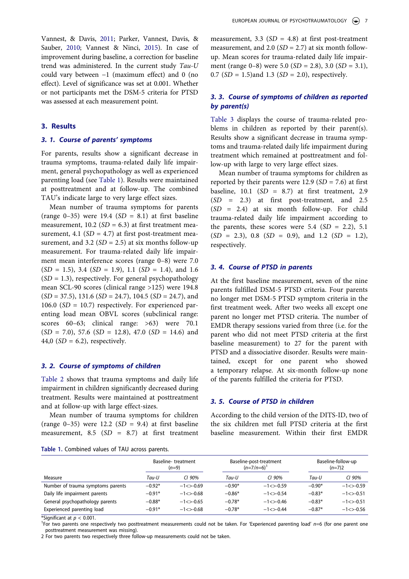could vary between −1 (maximum effect) and 0 (no effect). Level of significance was set at 0.001. Whether or not participants met the DSM-5 criteria for PTSD was assessed at each measurement point.

## **3. Results**

#### *3. 1. Course of parents' symptoms*

For parents, results show a significant decrease in trauma symptoms, trauma-related daily life impairment, general psychopathology as well as experienced parenting load (see [Table 1\)](#page-7-0). Results were maintained at posttreatment and at follow-up. The combined TAU's indicate large to very large effect sizes.

Mean number of trauma symptoms for parents (range  $0-35$ ) were 19.4 (*SD* = 8.1) at first baseline measurement,  $10.2$  ( $SD = 6.3$ ) at first treatment measurement, 4.1  $(SD = 4.7)$  at first post-treatment measurement, and 3.2 ( $SD = 2.5$ ) at six months follow-up measurement. For trauma-related daily life impairment mean interference scores (range 0–8) were 7.0 (*SD* = 1.5), 3.4 (*SD* = 1.9), 1.1 (*SD* = 1.4), and 1.6 (*SD* = 1.3), respectively. For general psychopathology mean SCL-90 scores (clinical range >125) were 194.8 (*SD* = 37.5), 131.6 (*SD* = 24.7), 104.5 (*SD* = 24.7), and 106.0 (*SD* = 10.7) respectively. For experienced parenting load mean OBVL scores (subclinical range: scores 60–63; clinical range: >63) were 70.1 (*SD* = 7.0), 57.6 (*SD* = 12.8), 47.0 (*SD* = 14.6) and 44,0 (*SD* = 6.2), respectively.

### *3. 2. Course of symptoms of children*

[Table 2](#page-8-0) shows that trauma symptoms and daily life impairment in children significantly decreased during treatment. Results were maintained at posttreatment and at follow-up with large effect-sizes.

Mean number of trauma symptoms for children (range  $0-35$ ) were 12.2 (*SD* = 9.4) at first baseline measurement, 8.5 (*SD* = 8.7) at first treatment

<span id="page-7-0"></span>

| Table 1. Combined values of TAU across parents. |  |  |  |  |  |  |  |  |
|-------------------------------------------------|--|--|--|--|--|--|--|--|
|-------------------------------------------------|--|--|--|--|--|--|--|--|

measurement,  $3.3$  ( $SD = 4.8$ ) at first post-treatment measurement, and  $2.0$  (*SD* =  $2.7$ ) at six month followup. Mean scores for trauma-related daily life impairment (range 0–8) were 5.0 (*SD* = 2.8), 3.0 (*SD* = 3.1), 0.7 (*SD* = 1.5)and 1.3 (*SD* = 2.0), respectively.

## *3. 3. Course of symptoms of children as reported by parent(s)*

[Table 3](#page-8-1) displays the course of trauma-related problems in children as reported by their parent(s). Results show a significant decrease in trauma symptoms and trauma-related daily life impairment during treatment which remained at posttreatment and follow-up with large to very large effect sizes.

Mean number of trauma symptoms for children as reported by their parents were  $12.9$  (*SD* = 7.6) at first baseline, 10.1 (*SD* = 8.7) at first treatment, 2.9 (*SD* = 2.3) at first post-treatment, and 2.5 (*SD* = 2.4) at six month follow-up. For child trauma-related daily life impairment according to the parents, these scores were  $5.4$  ( $SD = 2.2$ ),  $5.1$ (*SD* = 2.3), 0.8 (*SD* = 0.9), and 1.2 (*SD* = 1.2), respectively.

### *3. 4. Course of PTSD in parents*

At the first baseline measurement, seven of the nine parents fulfilled DSM-5 PTSD criteria. Four parents no longer met DSM-5 PTSD symptom criteria in the first treatment week. After two weeks all except one parent no longer met PTSD criteria. The number of EMDR therapy sessions varied from three (i.e. for the parent who did not meet PTSD criteria at the first baseline measurement) to 27 for the parent with PTSD and a dissociative disorder. Results were maintained, except for one parent who showed a temporary relapse. At six-month follow-up none of the parents fulfilled the criteria for PTSD.

## *3. 5. Course of PTSD in children*

According to the child version of the DITS-ID, two of the six children met full PTSD criteria at the first baseline measurement. Within their first EMDR

|                                   | Baseline-treatment<br>$(n=9)$ |              |          | Baseline-post-treatment<br>$(n=7/n=6)^1$ | Baseline-follow-up<br>$(n=7)2$ |              |
|-----------------------------------|-------------------------------|--------------|----------|------------------------------------------|--------------------------------|--------------|
| Measure                           | Tau-U                         | CI 90%       | Tau-U    | CI 90%                                   | Tau-U                          | CI 90%       |
| Number of trauma symptoms parents | $-0.92*$                      | $-1 < -0.69$ | $-0.90*$ | $-1 < -0.59$                             | $-0.90*$                       | $-1 < -0.59$ |
| Daily life impairment parents     | $-0.91*$                      | $-1 < -0.68$ | $-0.86*$ | $-1 < -0.54$                             | $-0.83*$                       | $-1 < -0.51$ |
| General psychopathology parents   | $-0.88*$                      | $-1 < -0.65$ | $-0.78*$ | $-1 < -0.46$                             | $-0.83*$                       | $-1 < -0.51$ |
| Experienced parenting load        | $-0.91*$                      | $-1 < -0.68$ | $-0.78*$ | $-1 < -0.44$                             | $-0.87*$                       | $-1 < -0.56$ |

\*Significant at *p* < 0.001. 1 For two parents one respectively two posttreatment measurements could not be taken. For 'Experienced parenting load' *n*=6 (for one parent one posttreatment measurement was missing).

2 For two parents two respectively three follow-up measurements could not be taken.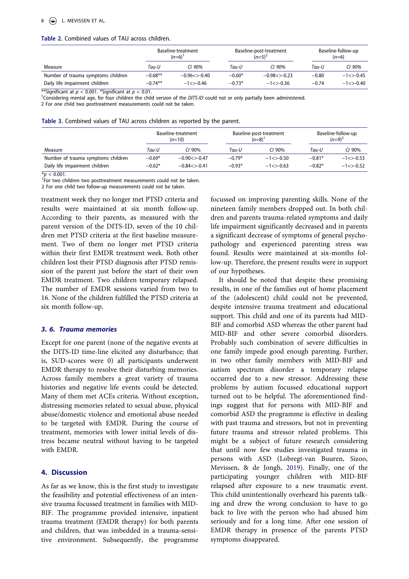#### $\circledast$  L. MEVISSEN ET AL.

#### <span id="page-8-0"></span>**Table 2.** Combined values of TAU across children.

|                                    | Baseline-treatment<br>$(n=6)$ |                   |          | Baseline-post-treatment<br>$(n=5)^2$ | Baseline-follow-up<br>$(n=6)$ |              |
|------------------------------------|-------------------------------|-------------------|----------|--------------------------------------|-------------------------------|--------------|
| Measure                            | Tau-U                         | CI 90%            | Tau-U    | CI 90%                               | Tau-U                         | CI 90%       |
| Number of trauma symptoms children | $-0.68**$                     | $-0.96 < > -0.40$ | $-0.60*$ | $-0.98 < -0.23$                      | $-0.80$                       | $-1 < -0.45$ |
| Daily life impairment children     | $-0.74**$                     | $-1 < -0.46$      | $-0.73*$ | $-1 < -0.36$                         | $-0.74$                       | $-1 < -0.40$ |

\*\*Significant at  $p < 0.001$ . \*Significant at  $p < 0.01$ .

<sup>1</sup>Considering mental age, for four children the child version of the *DITS-ID* could not or only partially been administered.

2 For one child two posttreatment measurements could not be taken.

<span id="page-8-1"></span>**Table 3.** Combined values of TAU across children as reported by the parent.

|                                    | Baseline-treatment<br>$(n=10)$ |                  | Baseline-post-treatment<br>$(n=8)^1$ |              | Baseline-follow-up<br>$(n=9)^2$ |                |
|------------------------------------|--------------------------------|------------------|--------------------------------------|--------------|---------------------------------|----------------|
| Measure                            | Tau-U                          | CI 90%           | Tau-U                                | CI 90%       | Tau-U                           | CI 90%         |
| Number of trauma symptoms children | $-0.69*$                       | $-0.90 < > 0.47$ | $-0.79*$                             | $-1 < -0.50$ | $-0.81*$                        | $-1 < -0.53$   |
| Daily life impairment children     | $-0.62*$                       | $-0.84 < -0.41$  | $-0.93*$                             | $-1 < -0.63$ | $-0.82*$                        | $-1 < > -0.52$ |

\**p* < 0.001. 1 For two children two posttreatment measurements could not be taken.

2 For one child two follow-up measurements could not be taken.

treatment week they no longer met PTSD criteria and results were maintained at six month follow-up. According to their parents, as measured with the parent version of the DITS-ID, seven of the 10 children met PTSD criteria at the first baseline measurement. Two of them no longer met PTSD criteria within their first EMDR treatment week. Both other children lost their PTSD diagnosis after PTSD remission of the parent just before the start of their own EMDR treatment. Two children temporary relapsed. The number of EMDR sessions varied from two to 16. None of the children fulfilled the PTSD criteria at six month follow-up.

#### *3. 6. Trauma memories*

Except for one parent (none of the negative events at the DITS-ID time-line elicited any disturbance; that is, SUD-scores were 0) all participants underwent EMDR therapy to resolve their disturbing memories. Across family members a great variety of trauma histories and negative life events could be detected. Many of them met ACEs criteria. Without exception, distressing memories related to sexual abuse, physical abuse/domestic violence and emotional abuse needed to be targeted with EMDR. During the course of treatment, memories with lower initial levels of distress became neutral without having to be targeted with EMDR.

#### **4. Discussion**

As far as we know, this is the first study to investigate the feasibility and potential effectiveness of an intensive trauma focussed treatment in families with MID-BIF. The programme provided intensive, inpatient trauma treatment (EMDR therapy) for both parents and children, that was imbedded in a trauma-sensitive environment. Subsequently, the programme

focussed on improving parenting skills. None of the nineteen family members dropped out. In both children and parents trauma-related symptoms and daily life impairment significantly decreased and in parents a significant decrease of symptoms of general psychopathology and experienced parenting stress was found. Results were maintained at six-months follow-up. Therefore, the present results were in support of our hypotheses.

It should be noted that despite these promising results, in one of the families out of home placement of the (adolescent) child could not be prevented, despite intensive trauma treatment and educational support. This child and one of its parents had MID-BIF and comorbid ASD whereas the other parent had MID-BIF and other severe comorbid disorders. Probably such combination of severe difficulties in one family impede good enough parenting. Further, in two other family members with MID-BIF and autism spectrum disorder a temporary relapse occurred due to a new stressor. Addressing these problems by autism focussed educational support turned out to be helpful. The aforementioned findings suggest that for persons with MID-BIF and comorbid ASD the programme is effective in dealing with past trauma and stressors, but not in preventing future trauma and stressor related problems. This might be a subject of future research considering that until now few studies investigated trauma in persons with ASD (Lobregt-van Buuren, Sizoo, Mevissen, & de Jongh, [2019](#page-10-25)). Finally, one of the participating younger children with MID-BIF relapsed after exposure to a new traumatic event. This child unintentionally overheard his parents talking and drew the wrong conclusion to have to go back to live with the person who had abused him seriously and for a long time. After one session of EMDR therapy in presence of the parents PTSD symptoms disappeared.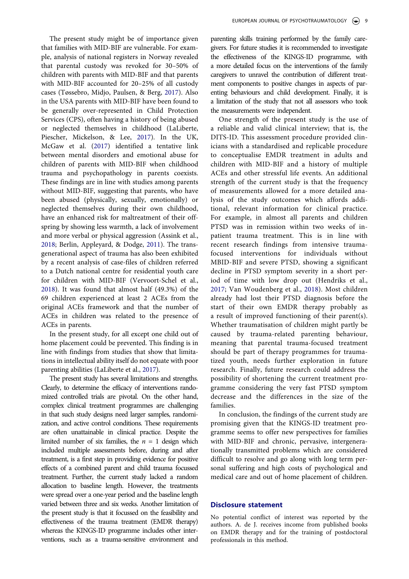The present study might be of importance given that families with MID-BIF are vulnerable. For example, analysis of national registers in Norway revealed that parental custody was revoked for 30–50% of children with parents with MID-BIF and that parents with MID-BIF accounted for 20–25% of all custody cases (Tøssebro, Midjo, Paulsen, & Berg, [2017\)](#page-11-8). Also in the USA parents with MID-BIF have been found to be generally over-represented in Child Protection Services (CPS), often having a history of being abused or neglected themselves in childhood (LaLiberte, Piescher, Mickelson, & Lee, [2017\)](#page-10-26). In the UK, McGaw et al. ([2017\)](#page-10-9) identified a tentative link between mental disorders and emotional abuse for children of parents with MID-BIF when childhood trauma and psychopathology in parents coexists. These findings are in line with studies among parents without MID-BIF, suggesting that parents, who have been abused (physically, sexually, emotionally) or neglected themselves during their own childhood, have an enhanced risk for maltreatment of their offspring by showing less warmth, a lack of involvement and more verbal or physical aggression (Assink et al., [2018](#page-10-27); Berlin, Appleyard, & Dodge, [2011\)](#page-10-28). The transgenerational aspect of trauma has also been exhibited by a recent analysis of case-files of children referred to a Dutch national centre for residential youth care for children with MID-BIF (Vervoort-Schel et al., [2018](#page-11-3)). It was found that almost half (49.3%) of the 69 children experienced at least 2 ACEs from the original ACEs framework and that the number of ACEs in children was related to the presence of ACEs in parents.

In the present study, for all except one child out of home placement could be prevented. This finding is in line with findings from studies that show that limitations in intellectual ability itself do not equate with poor parenting abilities (LaLiberte et al., [2017](#page-10-26)).

The present study has several limitations and strengths. Clearly, to determine the efficacy of interventions randomized controlled trials are pivotal. On the other hand, complex clinical treatment programmes are challenging in that such study designs need larger samples, randomization, and active control conditions. These requirements are often unattainable in clinical practice. Despite the limited number of six families, the  $n = 1$  design which included multiple assessments before, during and after treatment, is a first step in providing evidence for positive effects of a combined parent and child trauma focussed treatment. Further, the current study lacked a random allocation to baseline length. However, the treatments were spread over a one-year period and the baseline length varied between three and six weeks. Another limitation of the present study is that it focussed on the feasibility and effectiveness of the trauma treatment (EMDR therapy) whereas the KINGS-ID programme includes other interventions, such as a trauma-sensitive environment and

parenting skills training performed by the family caregivers. For future studies it is recommended to investigate the effectiveness of the KINGS-ID programme, with a more detailed focus on the interventions of the family caregivers to unravel the contribution of different treatment components to positive changes in aspects of parenting behaviours and child development. Finally, it is a limitation of the study that not all assessors who took the measurements were independent.

One strength of the present study is the use of a reliable and valid clinical interview; that is, the DITS-ID. This assessment procedure provided clinicians with a standardised and replicable procedure to conceptualise EMDR treatment in adults and children with MID-BIF and a history of multiple ACEs and other stressful life events. An additional strength of the current study is that the frequency of measurements allowed for a more detailed analysis of the study outcomes which affords additional, relevant information for clinical practice. For example, in almost all parents and children PTSD was in remission within two weeks of inpatient trauma treatment. This is in line with recent research findings from intensive traumafocused interventions for individuals without MBID-BIF and severe PTSD, showing a significant decline in PTSD symptom severity in a short period of time with low drop out (Hendriks et al., [2017](#page-10-29); Van Woudenberg et al., [2018\)](#page-11-4). Most children already had lost their PTSD diagnosis before the start of their own EMDR therapy probably as a result of improved functioning of their parent(s). Whether traumatisation of children might partly be caused by trauma-related parenting behaviour, meaning that parental trauma-focused treatment should be part of therapy programmes for traumatized youth, needs further exploration in future research. Finally, future research could address the possibility of shortening the current treatment programme considering the very fast PTSD symptom decrease and the differences in the size of the families.

In conclusion, the findings of the current study are promising given that the KINGS-ID treatment programme seems to offer new perspectives for families with MID-BIF and chronic, pervasive, intergenerationally transmitted problems which are considered difficult to resolve and go along with long term personal suffering and high costs of psychological and medical care and out of home placement of children.

#### **Disclosure statement**

No potential conflict of interest was reported by the authors. A. de J. receives income from published books on EMDR therapy and for the training of postdoctoral professionals in this method.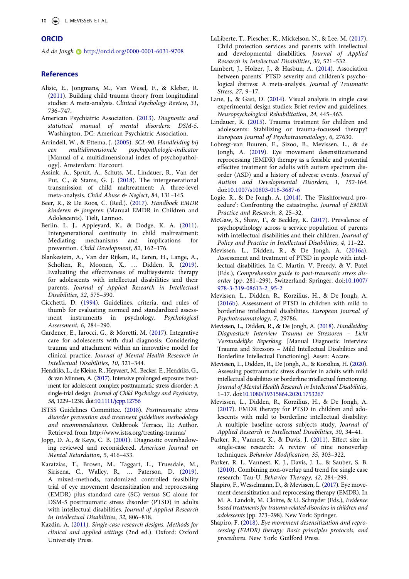#### **ORCID**

*Ad de Jongh* http://orcid.org/0000-0001-6031-9708

#### **References**

- <span id="page-10-2"></span>Alisic, E., Jongmans, M., Van Wesel, F., & Kleber, R. (2011). Building child trauma theory from longitudinal studies: A meta-analysis. *Clinical Psychology Review*, *31*, 736–747.
- <span id="page-10-1"></span>American Psychiatric Association. (2013). *Diagnostic and statistical manual of mental disorders: DSM-5*. Washington, DC: American Psychiatric Association.
- <span id="page-10-20"></span>Arrindell, W., & Ettema, J. (2005). *SCL-90. Handleiding bij multidimensionele psychopathologie-indicator* [Manual of a multidimensional index of psychopathology]. Amsterdam: Harcourt.
- <span id="page-10-27"></span>Assink, A., Spruit, A., Schuts, M., Lindauer, R., Van der Put, C., & Stams, G. J. (2018). The intergenerational transmission of child maltreatment: A three-level meta-analysis. *Child Abuse & Neglect*, *84*, 131–145.
- <span id="page-10-16"></span>Beer, R., & De Roos, C. (Red.). (2017). *Handboek EMDR kinderen & jongeren* (Manual EMDR in Children and Adolescents). Tielt, Lannoo.
- <span id="page-10-28"></span>Berlin, L. J., Appleyard, K., & Dodge, K. A. (2011). Intergenerational continuity in child maltreatment: Mediating mechanisms and implications for prevention. *Child Development*, *82*, 162–176.
- <span id="page-10-19"></span>Blankestein, A., Van der Rijken, R., Eeren, H., Lange, A., Scholten, R., Moonen, X., … Didden, R. (2019). Evaluating the effectiveness of multisystemic therapy for adolescents with intellectual disabilities and their parents. *Journal of Applied Research in Intellectual Disabilities*, *32*, 575–590.
- <span id="page-10-21"></span>Cicchetti, D. (1994). Guidelines, criteria, and rules of thumb for evaluating normed and standardized assessment instruments in psychology. *Psychological Assessment*, *6*, 284–290.
- <span id="page-10-13"></span>Gardener, E., Iarocci, G., & Moretti, M. (2017). Integrative care for adolescents with dual diagnosis: Considering trauma and attachment within an innovative model for clinical practice. *Journal of Mental Health Research in Intellectual Disabilities*, *10*, 321–344.
- <span id="page-10-29"></span>Hendriks, L., de Kleine, R., Heyvaert, M., Becker, E., Hendriks, G., & van Minnen, A. (2017). Intensive prolonged exposure treatment for adolescent complex posttraumatic stress disorder: A single-trial design. *Journal of Child Psychology and Psychiatry, 58*, 1229–1238. doi:[10.1111/jcpp.12756](https://doi.org/10.1111/jcpp.12756)
- <span id="page-10-14"></span>ISTSS Guidelines Committee. (2018). *Posttraumatic stress disorder prevention and treatment guidelines methodology and recommendations*. Oakbrook Terrace, IL: Author. Retrieved from http://www.istss.org/treating-trauma/
- <span id="page-10-3"></span>Jopp, D. A., & Keys, C. B. (2001). Diagnostic overshadowing reviewed and reconsidered. *American Journal on Mental Retardation*, *5*, 416–433.
- <span id="page-10-7"></span>Karatzias, T., Brown, M., Taggart, L., Truesdale, M., Sirisena, C., Walley, R., … Paterson, D. (2019). A mixed-methods, randomized controlled feasibility trial of eye movement desensitization and reprocessing (EMDR) plus standard care (SC) versus SC alone for DSM-5 posttraumatic stress disorder (PTSD) in adults with intellectual disabilities. *Journal of Applied Research in Intellectual Disabilities*, *32*, 806–818.
- <span id="page-10-12"></span>Kazdin, A. (2011). *Single-case research designs. Methods for clinical and applied settings* (2nd ed.). Oxford: Oxford University Press.
- <span id="page-10-26"></span>LaLiberte, T., Piescher, K., Mickelson, N., & Lee, M. (2017). Child protection services and parents with intellectual and developmental disabilities. *Journal of Applied Research in Intellectual Disabilities*, *30*, 521–532.
- <span id="page-10-11"></span>Lambert, J., Holzer, J., & Hasbun, A. (2014). Association between parents' PTSD severity and children's psychological distress: A meta-analysis. *Journal of Traumatic Stress*, *27*, 9–17.
- <span id="page-10-22"></span>Lane, J., & Gast, D. (2014). Visual analysis in single case experimental design studies: Brief review and guidelines. *Neuropsychological Rehabilitation*, *24*, 445–463.
- <span id="page-10-18"></span>Lindauer, R. (2015). Trauma treatment for children and adolescents: Stabilizing or trauma-focussed therapy? *European Journal of Psychotraumatology*, *6*, 27630.
- <span id="page-10-25"></span>Lobregt-van Buuren, E., Sizoo, B., Mevissen, L., & de Jongh, A. (2019). Eye movement desensitizationand reprocessing (EMDR) therapy as a feasible and potential effective treatment for adults with autism spectrum disorder (ASD) and a history of adverse events. *Journal of Autism and Developmental Disorders, 1, 152-164*. doi:[10.1007/s10803-018-3687-6](https://doi.org/10.1007/s10803-018-3687-6)
- <span id="page-10-17"></span>Logie, R., & De Jongh, A. (2014). The 'Flashforward procedure': Confronting the catastrophe. *Journal of EMDR Practice and Research*, *8*, 25–32.
- <span id="page-10-9"></span>McGaw, S., Shaw, T., & Beckley, K. (2017). Prevalence of psychopathology across a service population of parents with intellectual disabilities and their children. *Journal of Policy and Practice in Intellectual Disabilities*, *4*, 11–22.
- <span id="page-10-0"></span>Mevissen, L., Didden, R., & De Jongh, A. (2016a). Assessment and treatment of PTSD in people with intellectual disabilities. In C. Martin, V. Preedy, & V. Patel (Eds.), *Comprehensive guide to post-traumatic stress disorder* (pp. 281–299). Switzerland: Springer. doi:[10.1007/](https://doi.org/10.1007/978-3-319-08613-2_95-2) [978-3-319-08613-2\\_95-2](https://doi.org/10.1007/978-3-319-08613-2_95-2)
- <span id="page-10-5"></span>Mevissen, L., Didden, R., Korzilius, H., & De Jongh, A. (2016b). Assessment of PTSD in children with mild to borderline intellectual disabilities. *European Journal of Psychotraumatology*, *7*, 29786.
- <span id="page-10-4"></span>Mevissen, L., Didden, R., & De Jongh, A. (2018). *Handleiding Diagnostisch Interview Trauma en Stressoren – Licht Verstandelijke Beperking*. [Manual Diagnostic Interview Trauma and Stressors – Mild Intellectual Disabilities and Borderline Intellectual Functioning]. Assen: Accare.
- <span id="page-10-6"></span>Mevissen, L., Didden, R., De Jongh, A., & Korzilius, H. (2020). Assessing posttraumatic stress disorder in adults with mild intellectual disabilities or borderline intellectual functioning. *Journal of Mental Health Research in Intellectual Disabilities*, 1–17. doi:[10.1080/19315864.2020.1753267](https://doi.org/10.1080/19315864.2020.1753267)
- <span id="page-10-8"></span>Mevissen, L., Didden, R., Korzilius, H., & De Jongh, A. (2017). EMDR therapy for PTSD in children and adolescents with mild to borderline intellectual disability: A multiple baseline across subjects study. *Journal of Applied Research in Intellectual Disabilities*, *30*, 34–41.
- <span id="page-10-23"></span>Parker, R., Vannest, K., & Davis, J. (2011). Effect size in single-case research: A review of nine nonoverlap techniques. *Behavior Modification*, *35*, 303–322.
- <span id="page-10-24"></span>Parker, R. I., Vannest, K. J., Davis, J. L., & Sauber, S. B. (2010). Combining non-overlap and trend for single case research: Tau-U. *Behavior Therapy*, *42*, 284–299.
- <span id="page-10-10"></span>Shapiro, F., Wesselmann, D., & Mevissen, L. (2017). Eye movement desensitization and reprocessing therapy (EMDR). In M. A. Landolt, M. Cloitre, & U. Schnyder (Eds.), *Evidence based treatments for trauma-related disorders in children and adolescents* (pp. 273–298). New York: Springer.
- <span id="page-10-15"></span>Shapiro, F. (2018). *Eye movement desensitization and reprocessing (EMDR) therapy: Basic principles protocols, and procedures*. New York: Guilford Press.